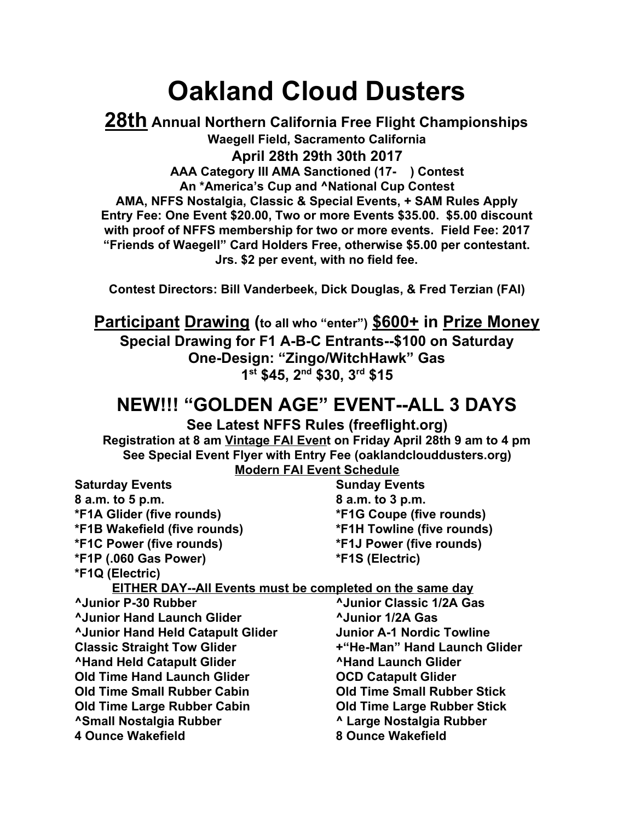## **Oakland Cloud Dusters**

**28th Annual Northern California Free Flight Championships Waegell Field, Sacramento California April 28th 29th 30th 2017 AAA Category III AMA Sanctioned (17- ) Contest An \*America's Cup and ^National Cup Contest AMA, NFFS Nostalgia, Classic & Special Events, + SAM Rules Apply Entry Fee: One Event \$20.00, Two or more Events \$35.00. \$5.00 discount with proof of NFFS membership for two or more events. Field Fee: 2017 "Friends of Waegell" Card Holders Free, otherwise \$5.00 per contestant. Jrs. \$2 per event, with no field fee.**

**Contest Directors: Bill Vanderbeek, Dick Douglas, & Fred Terzian (FAI)**

**Participant Drawing (to all who "enter") \$600+ in Prize Money Special Drawing for F1 A-B-C Entrants--\$100 on Saturday One-Design: "Zingo/WitchHawk" Gas 1 st \$45, 2 nd \$30, 3 rd \$15**

## **NEW!!! "GOLDEN AGE" EVENT--ALL 3 DAYS**

**See Latest NFFS Rules (freeflight.org) Registration at 8 am Vintage FAI Event on Friday April 28th 9 am to 4 pm See Special Event Flyer with Entry Fee (oaklandclouddusters.org) Modern FAI Event Schedule**

| <b>Saturday Events</b>                                          | <b>Sunday Events</b>               |
|-----------------------------------------------------------------|------------------------------------|
| 8 a.m. to 5 p.m.                                                | 8 a.m. to 3 p.m.                   |
| <b>*F1A Glider (five rounds)</b>                                | *F1G Coupe (five rounds)           |
| *F1B Wakefield (five rounds)                                    | <b>*F1H Towline (five rounds)</b>  |
| <b>*F1C Power (five rounds)</b>                                 | <b>*F1J Power (five rounds)</b>    |
| *F1P (.060 Gas Power)                                           | *F1S (Electric)                    |
| *F1Q (Electric)                                                 |                                    |
| <b>EITHER DAY--All Events must be completed on the same day</b> |                                    |
| <b>AJunior P-30 Rubber</b>                                      | <b>AJunior Classic 1/2A Gas</b>    |
| <b>AJunior Hand Launch Glider</b>                               | <b>AJunior 1/2A Gas</b>            |
| <b>AJunior Hand Held Catapult Glider</b>                        | <b>Junior A-1 Nordic Towline</b>   |
| <b>Classic Straight Tow Glider</b>                              | +"He-Man" Hand Launch Glider       |
| <b>^Hand Held Catapult Glider</b>                               | <b>AHand Launch Glider</b>         |
| <b>Old Time Hand Launch Glider</b>                              | <b>OCD Catapult Glider</b>         |
| <b>Old Time Small Rubber Cabin</b>                              | <b>Old Time Small Rubber Stick</b> |
| <b>Old Time Large Rubber Cabin</b>                              | <b>Old Time Large Rubber Stick</b> |
| <b>^Small Nostalgia Rubber</b>                                  | ^ Large Nostalgia Rubber           |
| <b>4 Ounce Wakefield</b>                                        | 8 Ounce Wakefield                  |
|                                                                 |                                    |